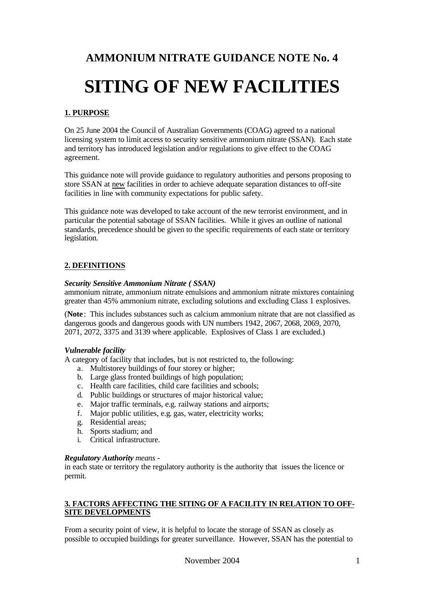# **AMMONIUM NITRATE GUIDANCE NOTE No. 4**

# **SITING OF NEW FACILITIES**

# **1. PURPOSE**

On 25 June 2004 the Council of Australian Governments (COAG) agreed to a national licensing system to limit access to security sensitive ammonium nitrate (SSAN). Each state and territory has introduced legislation and/or regulations to give effect to the COAG agreement.

This guidance note will provide guidance to regulatory authorities and persons proposing to store SSAN at new facilities in order to achieve adequate separation distances to off-site facilities in line with community expectations for public safety.

This guidance note was developed to take account of the new terrorist environment, and in particular the potential sabotage of SSAN facilities. While it gives an outline of national standards, precedence should be given to the specific requirements of each state or territory legislation.

## **2. DEFINITIONS**

#### *Security Sensitive Ammonium Nitrate ( SSAN)*

ammonium nitrate, ammonium nitrate emulsions and ammonium nitrate mixtures containing greater than 45% ammonium nitrate, excluding solutions and excluding Class 1 explosives.

(**Note** : This includes substances such as calcium ammonium nitrate that are not classified as dangerous goods and dangerous goods with UN numbers 1942, 2067, 2068, 2069, 2070, 2071, 2072, 3375 and 3139 where applicable. Explosives of Class 1 are excluded.)

#### *Vulnerable facility*

A category of facility that includes, but is not restricted to, the following:

- a. Multistorey buildings of four storey or higher;
- b. Large glass fronted buildings of high population;
- c. Health care facilities, child care facilities and schools;
- d. Public buildings or structures of major historical value;
- e. Major traffic terminals, e.g. railway stations and airports;
- f. Major public utilities, e.g. gas, water, electricity works;
- g. Residential areas;
- h. Sports stadium; and
- i. Critical infrastructure.

#### *Regulatory Authority means -*

in each state or territory the regulatory authority is the authority that issues the licence or permit.

#### **3. FACTORS AFFECTING THE SITING OF A FACILITY IN RELATION TO OFF-SITE DEVELOPMENTS**

From a security point of view, it is helpful to locate the storage of SSAN as closely as possible to occupied buildings for greater surveillance. However, SSAN has the potential to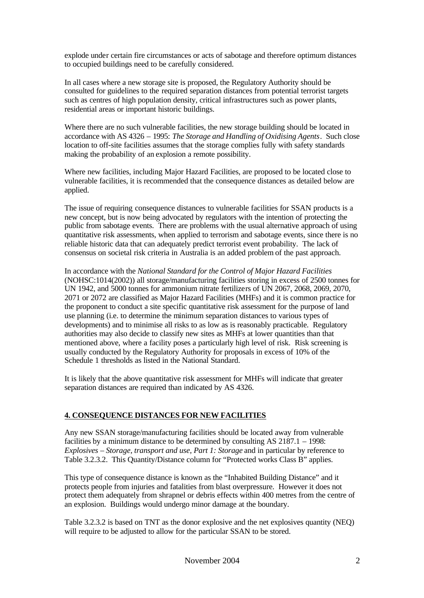explode under certain fire circumstances or acts of sabotage and therefore optimum distances to occupied buildings need to be carefully considered.

In all cases where a new storage site is proposed, the Regulatory Authority should be consulted for guidelines to the required separation distances from potential terrorist targets such as centres of high population density, critical infrastructures such as power plants, residential areas or important historic buildings.

Where there are no such vulnerable facilities, the new storage building should be located in accordance with AS 4326 – 1995: *The Storage and Handling of Oxidising Agents*. Such close location to off-site facilities assumes that the storage complies fully with safety standards making the probability of an explosion a remote possibility.

Where new facilities, including Major Hazard Facilities, are proposed to be located close to vulnerable facilities, it is recommended that the consequence distances as detailed below are applied.

The issue of requiring consequence distances to vulnerable facilities for SSAN products is a new concept, but is now being advocated by regulators with the intention of protecting the public from sabotage events. There are problems with the usual alternative approach of using quantitative risk assessments, when applied to terrorism and sabotage events, since there is no reliable historic data that can adequately predict terrorist event probability. The lack of consensus on societal risk criteria in Australia is an added problem of the past approach.

In accordance with the *National Standard for the Control of Major Hazard Facilities* (NOHSC:1014(2002)) all storage/manufacturing facilities storing in excess of 2500 tonnes for UN 1942, and 5000 tonnes for ammonium nitrate fertilizers of UN 2067, 2068, 2069, 2070, 2071 or 2072 are classified as Major Hazard Facilities (MHFs) and it is common practice for the proponent to conduct a site specific quantitative risk assessment for the purpose of land use planning (i.e. to determine the minimum separation distances to various types of developments) and to minimise all risks to as low as is reasonably practicable. Regulatory authorities may also decide to classify new sites as MHFs at lower quantities than that mentioned above, where a facility poses a particularly high level of risk. Risk screening is usually conducted by the Regulatory Authority for proposals in excess of 10% of the Schedule 1 thresholds as listed in the National Standard.

It is likely that the above quantitative risk assessment for MHFs will indicate that greater separation distances are required than indicated by AS 4326.

### **4. CONSEQUENCE DISTANCES FOR NEW FACILITIES**

Any new SSAN storage/manufacturing facilities should be located away from vulnerable facilities by a minimum distance to be determined by consulting AS 2187.1 – 1998: *Explosives – Storage, transport and use, Part 1: Storage* and in particular by reference to Table 3.2.3.2. This Quantity/Distance column for "Protected works Class B" applies.

This type of consequence distance is known as the "Inhabited Building Distance" and it protects people from injuries and fatalities from blast overpressure. However it does not protect them adequately from shrapnel or debris effects within 400 metres from the centre of an explosion. Buildings would undergo minor damage at the boundary.

Table 3.2.3.2 is based on TNT as the donor explosive and the net explosives quantity (NEQ) will require to be adjusted to allow for the particular SSAN to be stored.